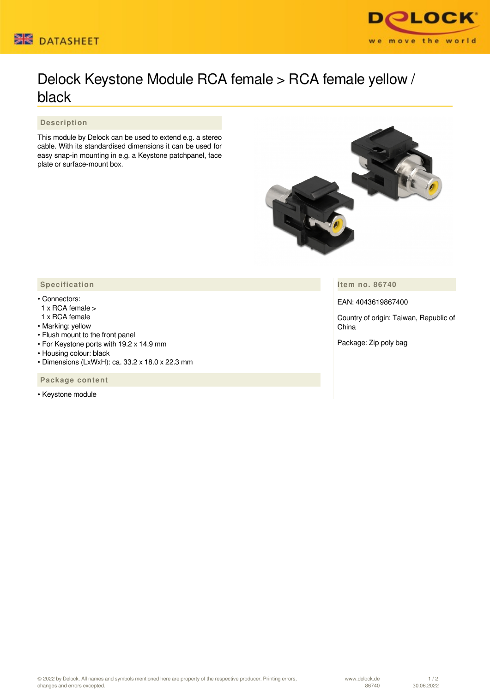



## Delock Keystone Module RCA female > RCA female yellow / black

 **Description**

This module by Delock can be used to extend e.g. a stereo cable. With its standardised dimensions it can be used for easy snap-in mounting in e.g. a Keystone patchpanel, face plate or surface-mount box.



**Item no. 86740**

EAN: 4043619867400

Country of origin: Taiwan, Republic of China

Package: Zip poly bag

## **Specification**

## • Connectors:

- 1 x RCA female >
- 1 x RCA female
- Marking: yellow
- Flush mount to the front panel
- For Keystone ports with 19.2 x 14.9 mm
- Housing colour: black
- Dimensions (LxWxH): ca. 33.2 x 18.0 x 22.3 mm

 **Package content**

• Keystone module